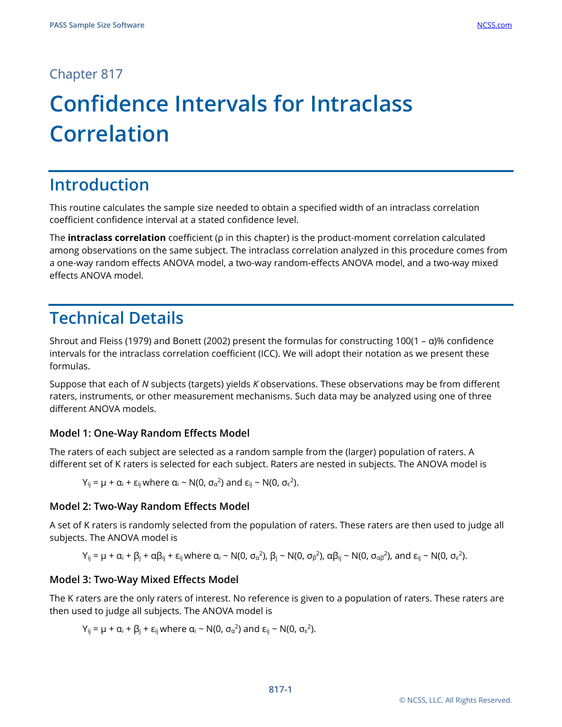### Chapter 817

# **Confidence Intervals for Intraclass Correlation**

# **Introduction**

This routine calculates the sample size needed to obtain a specified width of an intraclass correlation coefficient confidence interval at a stated confidence level.

The **intraclass correlation** coefficient (ρ in this chapter) is the product-moment correlation calculated among observations on the same subject. The intraclass correlation analyzed in this procedure comes from a one-way random effects ANOVA model, a two-way random-effects ANOVA model, and a two-way mixed effects ANOVA model.

# **Technical Details**

Shrout and Fleiss (1979) and Bonett (2002) present the formulas for constructing 100(1 – α)% confidence intervals for the intraclass correlation coefficient (ICC). We will adopt their notation as we present these formulas.

Suppose that each of *N* subjects (targets) yields *K* observations. These observations may be from different raters, instruments, or other measurement mechanisms. Such data may be analyzed using one of three different ANOVA models.

#### **Model 1: One-Way Random Effects Model**

The raters of each subject are selected as a random sample from the (larger) population of raters. A different set of K raters is selected for each subject. Raters are nested in subjects. The ANOVA model is

$$
Y_{ij} = \mu + \alpha_i + \epsilon_{ij} \text{ where } \alpha_i \sim N(0, \sigma_{\alpha}^2) \text{ and } \epsilon_{ij} \sim N(0, \sigma_{\epsilon}^2).
$$

#### **Model 2: Two-Way Random Effects Model**

A set of K raters is randomly selected from the population of raters. These raters are then used to judge all subjects. The ANOVA model is

$$
Y_{ij} = \mu + \alpha_i + \beta_j + \alpha \beta_{ij} + \epsilon_{ij}
$$
 where  $\alpha_i \sim N(0, \sigma_{\alpha}^2), \beta_j \sim N(0, \sigma_{\beta}^2), \alpha \beta_{ij} \sim N(0, \sigma_{\alpha \beta}^2)$ , and  $\epsilon_{ij} \sim N(0, \sigma_{\epsilon}^2)$ .

#### **Model 3: Two-Way Mixed Effects Model**

The K raters are the only raters of interest. No reference is given to a population of raters. These raters are then used to judge all subjects. The ANOVA model is

Y<sub>ij</sub> = μ +  $\alpha_i$  +  $\beta_j$  + ε<sub>ij</sub> where  $\alpha_i$  ~ N(0,  $\sigma_\alpha$ <sup>2</sup>) and ε<sub>ij</sub> ~ N(0,  $\sigma_\epsilon$ <sup>2</sup>).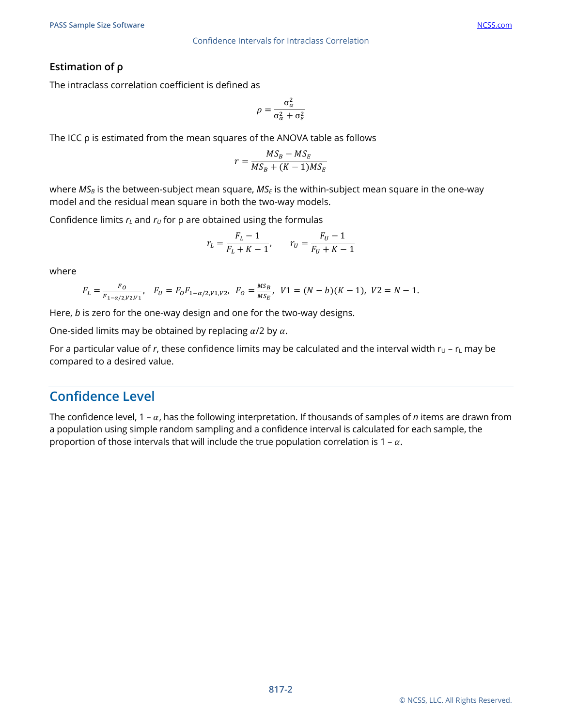#### **Estimation of ρ**

The intraclass correlation coefficient is defined as

$$
\rho = \frac{\sigma_{\alpha}^2}{\sigma_{\alpha}^2 + \sigma_{\varepsilon}^2}
$$

The ICC  $\rho$  is estimated from the mean squares of the ANOVA table as follows

$$
r = \frac{MS_B - MS_E}{MS_B + (K - 1)MS_E}
$$

where *MS<sub>B</sub>* is the between-subject mean square, *MS<sub>E</sub>* is the within-subject mean square in the one-way model and the residual mean square in both the two-way models.

Confidence limits  $r<sub>L</sub>$  and  $r<sub>U</sub>$  for  $\rho$  are obtained using the formulas

$$
r_L = \frac{F_L - 1}{F_L + K - 1}, \qquad r_U = \frac{F_U - 1}{F_U + K - 1}
$$

where

$$
F_L = \frac{F_O}{F_{1-\alpha/2,V2,V1}}, \quad F_U = F_O F_{1-\alpha/2,V1,V2}, \quad F_O = \frac{MS_B}{MS_E}, \quad V1 = (N-b)(K-1), \quad V2 = N-1.
$$

Here, *b* is zero for the one-way design and one for the two-way designs.

One-sided limits may be obtained by replacing  $\alpha/2$  by  $\alpha$ .

For a particular value of r, these confidence limits may be calculated and the interval width  $r_U - r_L$  may be compared to a desired value.

### **Confidence Level**

The confidence level,  $1 - \alpha$ , has the following interpretation. If thousands of samples of *n* items are drawn from a population using simple random sampling and a confidence interval is calculated for each sample, the proportion of those intervals that will include the true population correlation is 1 –  $\alpha$ .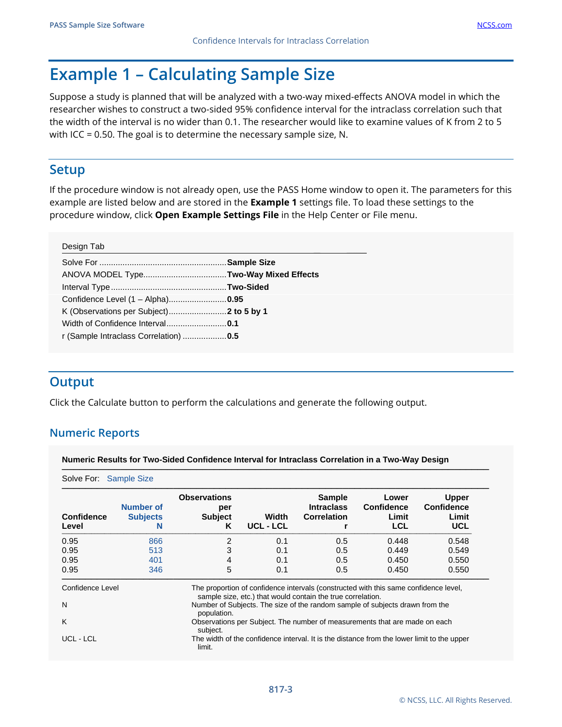# **Example 1 – Calculating Sample Size**

Suppose a study is planned that will be analyzed with a two-way mixed-effects ANOVA model in which the researcher wishes to construct a two-sided 95% confidence interval for the intraclass correlation such that the width of the interval is no wider than 0.1. The researcher would like to examine values of K from 2 to 5 with ICC = 0.50. The goal is to determine the necessary sample size, N.

### **Setup**

If the procedure window is not already open, use the PASS Home window to open it. The parameters for this example are listed below and are stored in the **Example 1** settings file. To load these settings to the procedure window, click **Open Example Settings File** in the Help Center or File menu.

| Design Tab                            |  |
|---------------------------------------|--|
|                                       |  |
|                                       |  |
|                                       |  |
| Confidence Level (1 - Alpha)0.95      |  |
|                                       |  |
|                                       |  |
| r (Sample Intraclass Correlation) 0.5 |  |
|                                       |  |

# **Output**

Click the Calculate button to perform the calculations and generate the following output.

#### **Numeric Reports**

**Numeric Results for Two-Sided Confidence Interval for Intraclass Correlation in a Two-Way Design**

| Solve For: Sample Size     |                                                                                        |                                                                                             |                    |                                                             |                                                                                            |                                                          |
|----------------------------|----------------------------------------------------------------------------------------|---------------------------------------------------------------------------------------------|--------------------|-------------------------------------------------------------|--------------------------------------------------------------------------------------------|----------------------------------------------------------|
| <b>Confidence</b><br>Level | Number of<br><b>Subjects</b><br>N                                                      | <b>Observations</b><br>per<br><b>Subject</b><br>K                                           | Width<br>UCL - LCL | <b>Sample</b><br><b>Intraclass</b><br><b>Correlation</b>    | Lower<br><b>Confidence</b><br>Limit<br><b>LCL</b>                                          | <b>Upper</b><br><b>Confidence</b><br>Limit<br><b>UCL</b> |
| 0.95                       | 866                                                                                    | 2                                                                                           | 0.1                | 0.5                                                         | 0.448                                                                                      | 0.548                                                    |
| 0.95                       | 513                                                                                    | 3                                                                                           | 0.1                | 0.5                                                         | 0.449                                                                                      | 0.549                                                    |
| 0.95                       | 401                                                                                    | 4                                                                                           | 0.1                | 0.5                                                         | 0.450                                                                                      | 0.550                                                    |
| 0.95                       | 346                                                                                    | 5                                                                                           | 0.1                | 0.5                                                         | 0.450                                                                                      | 0.550                                                    |
| Confidence Level           |                                                                                        |                                                                                             |                    | sample size, etc.) that would contain the true correlation. | The proportion of confidence intervals (constructed with this same confidence level,       |                                                          |
| N                          |                                                                                        | Number of Subjects. The size of the random sample of subjects drawn from the<br>population. |                    |                                                             |                                                                                            |                                                          |
| K                          | Observations per Subject. The number of measurements that are made on each<br>subject. |                                                                                             |                    |                                                             |                                                                                            |                                                          |
| UCL - LCL                  |                                                                                        | limit.                                                                                      |                    |                                                             | The width of the confidence interval. It is the distance from the lower limit to the upper |                                                          |

─────────────────────────────────────────────────────────────────────────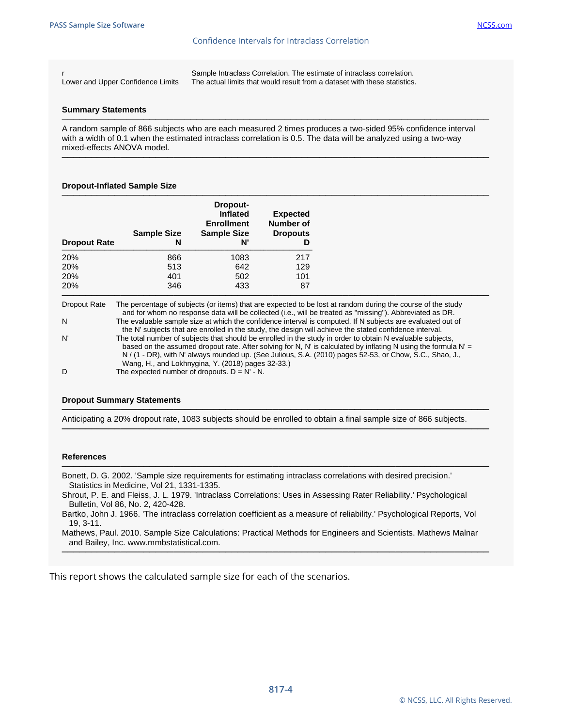#### Confidence Intervals for Intraclass Correlation

r Sample Intraclass Correlation. The estimate of intraclass correlation. Lower and Upper Confidence Limits The actual limits that would result from a dataset with these statistics.

#### **Summary Statements**

───────────────────────────────────────────────────────────────────────── A random sample of 866 subjects who are each measured 2 times produces a two-sided 95% confidence interval with a width of 0.1 when the estimated intraclass correlation is 0.5. The data will be analyzed using a two-way mixed-effects ANOVA model.

─────────────────────────────────────────────────────────────────────────

#### **Dropout-Inflated Sample Size**

|                     | <b>Sample Size</b> | Dropout-<br>Inflated<br><b>Enrollment</b><br><b>Sample Size</b> | <b>Expected</b><br><b>Number of</b><br><b>Dropouts</b> |
|---------------------|--------------------|-----------------------------------------------------------------|--------------------------------------------------------|
| <b>Dropout Rate</b> | N                  | N'                                                              | D                                                      |
| 20%                 | 866                | 1083                                                            | 217                                                    |
| 20%                 | 513                | 642                                                             | 129                                                    |
| 20%                 | 401                | 502                                                             | 101                                                    |
| 20%                 | 346                | 433                                                             | 87                                                     |

Dropout Rate The percentage of subjects (or items) that are expected to be lost at random during the course of the study and for whom no response data will be collected (i.e., will be treated as "missing"). Abbreviated as DR. N The evaluable sample size at which the confidence interval is computed. If N subjects are evaluated out of the N' subjects that are enrolled in the study, the design will achieve the stated confidence interval. N' The total number of subjects that should be enrolled in the study in order to obtain N evaluable subjects, based on the assumed dropout rate. After solving for N, N' is calculated by inflating N using the formula N' = N / (1 - DR), with N' always rounded up. (See Julious, S.A. (2010) pages 52-53, or Chow, S.C., Shao, J., Wang, H., and Lokhnygina, Y. (2018) pages 32-33.) D The expected number of dropouts.  $D = N' - N$ .

─────────────────────────────────────────────────────────────────────────

#### **Dropout Summary Statements**

───────────────────────────────────────────────────────────────────────── Anticipating a 20% dropout rate, 1083 subjects should be enrolled to obtain a final sample size of 866 subjects.

─────────────────────────────────────────────────────────────────────────

─────────────────────────────────────────────────────────────────────────

#### **References**

Bonett, D. G. 2002. 'Sample size requirements for estimating intraclass correlations with desired precision.' Statistics in Medicine, Vol 21, 1331-1335.

Shrout, P. E. and Fleiss, J. L. 1979. 'Intraclass Correlations: Uses in Assessing Rater Reliability.' Psychological Bulletin, Vol 86, No. 2, 420-428.

Bartko, John J. 1966. 'The intraclass correlation coefficient as a measure of reliability.' Psychological Reports, Vol 19, 3-11.

Mathews, Paul. 2010. Sample Size Calculations: Practical Methods for Engineers and Scientists. Mathews Malnar and Bailey, Inc. www.mmbstatistical.com. ─────────────────────────────────────────────────────────────────────────

This report shows the calculated sample size for each of the scenarios.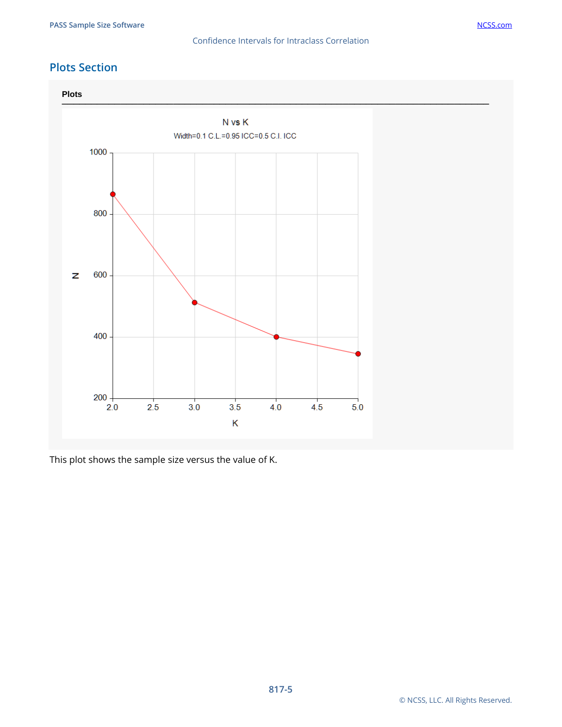#### Confidence Intervals for Intraclass Correlation

#### **Plots Section**



This plot shows the sample size versus the value of K.